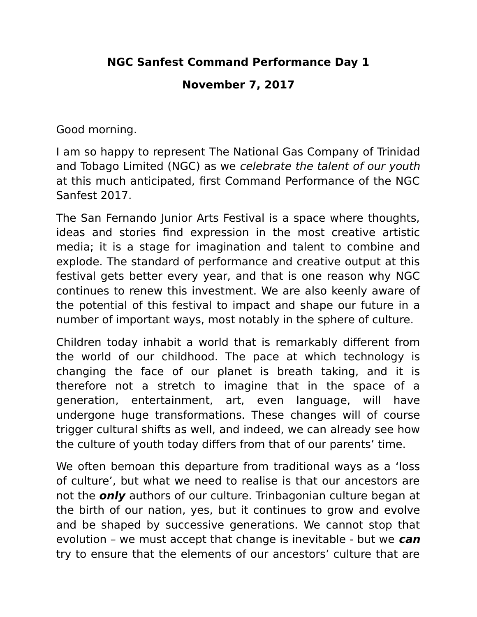## **NGC Sanfest Command Performance Day 1**

## **November 7, 2017**

Good morning.

I am so happy to represent The National Gas Company of Trinidad and Tobago Limited (NGC) as we celebrate the talent of our youth at this much anticipated, first Command Performance of the NGC Sanfest 2017.

The San Fernando Junior Arts Festival is a space where thoughts, ideas and stories find expression in the most creative artistic media; it is a stage for imagination and talent to combine and explode. The standard of performance and creative output at this festival gets better every year, and that is one reason why NGC continues to renew this investment. We are also keenly aware of the potential of this festival to impact and shape our future in a number of important ways, most notably in the sphere of culture.

Children today inhabit a world that is remarkably different from the world of our childhood. The pace at which technology is changing the face of our planet is breath taking, and it is therefore not a stretch to imagine that in the space of a generation, entertainment, art, even language, will have undergone huge transformations. These changes will of course trigger cultural shifts as well, and indeed, we can already see how the culture of youth today differs from that of our parents' time.

We often bemoan this departure from traditional ways as a 'loss of culture', but what we need to realise is that our ancestors are not the **only** authors of our culture. Trinbagonian culture began at the birth of our nation, yes, but it continues to grow and evolve and be shaped by successive generations. We cannot stop that evolution – we must accept that change is inevitable - but we **can** try to ensure that the elements of our ancestors' culture that are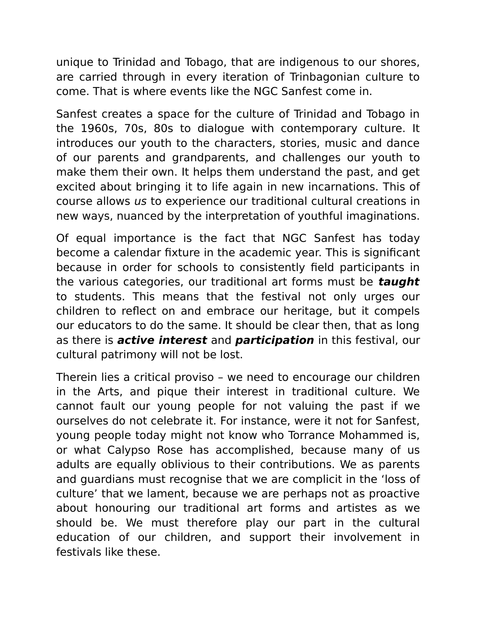unique to Trinidad and Tobago, that are indigenous to our shores, are carried through in every iteration of Trinbagonian culture to come. That is where events like the NGC Sanfest come in.

Sanfest creates a space for the culture of Trinidad and Tobago in the 1960s, 70s, 80s to dialogue with contemporary culture. It introduces our youth to the characters, stories, music and dance of our parents and grandparents, and challenges our youth to make them their own. It helps them understand the past, and get excited about bringing it to life again in new incarnations. This of course allows us to experience our traditional cultural creations in new ways, nuanced by the interpretation of youthful imaginations.

Of equal importance is the fact that NGC Sanfest has today become a calendar fixture in the academic year. This is significant because in order for schools to consistently field participants in the various categories, our traditional art forms must be **taught** to students. This means that the festival not only urges our children to reflect on and embrace our heritage, but it compels our educators to do the same. It should be clear then, that as long as there is **active interest** and **participation** in this festival, our cultural patrimony will not be lost.

Therein lies a critical proviso – we need to encourage our children in the Arts, and pique their interest in traditional culture. We cannot fault our young people for not valuing the past if we ourselves do not celebrate it. For instance, were it not for Sanfest, young people today might not know who Torrance Mohammed is, or what Calypso Rose has accomplished, because many of us adults are equally oblivious to their contributions. We as parents and guardians must recognise that we are complicit in the 'loss of culture' that we lament, because we are perhaps not as proactive about honouring our traditional art forms and artistes as we should be. We must therefore play our part in the cultural education of our children, and support their involvement in festivals like these.